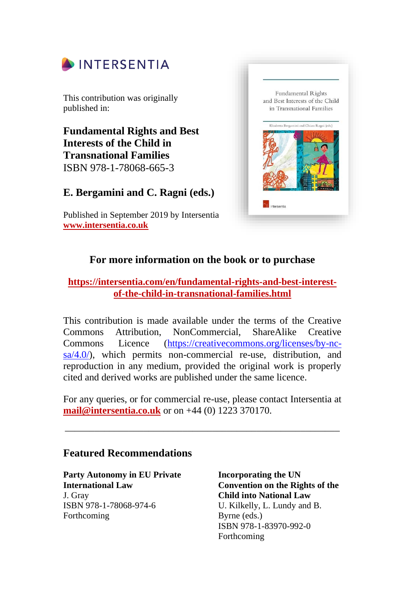

This contribution was originally published in:

**Fundamental Rights and Best Interests of the Child in Transnational Families** ISBN 978-1-78068-665-3

# **E. Bergamini and C. Ragni (eds.)**

Published in September 2019 by Intersentia **[www.intersentia.co.uk](http://www.intersentia.co.uk/)**



#### **For more information on the book or to purchase**

#### **https://intersentia.com/en/fundamental-rights-and-best-interestof-the-child-in-transnational-families.html**

This contribution is made available under the terms of the Creative Commons Attribution, NonCommercial, ShareAlike Creative Commons Licence [\(https://creativecommons.org/licenses/by-nc](https://creativecommons.org/licenses/by-nc-sa/4.0/)[sa/4.0/\)](https://creativecommons.org/licenses/by-nc-sa/4.0/), which permits non-commercial re-use, distribution, and reproduction in any medium, provided the original work is properly cited and derived works are published under the same licence.

For any queries, or for commercial re-use, please contact Intersentia at **[mail@intersentia.co.uk](mailto:mail@intersentia.co.uk)** or on +44 (0) 1223 370170.

\_\_\_\_\_\_\_\_\_\_\_\_\_\_\_\_\_\_\_\_\_\_\_\_\_\_\_\_\_\_\_\_\_\_\_\_\_\_\_\_\_\_\_\_\_\_\_\_\_\_\_\_\_\_\_\_

#### **Featured Recommendations**

**Party Autonomy in EU Private International Law** J. Gray ISBN 978-1-78068-974-6 Forthcoming

**Incorporating the UN Convention on the Rights of the Child into National Law** U. Kilkelly, L. Lundy and B. Byrne (eds.) ISBN 978-1-83970-992-0 Forthcoming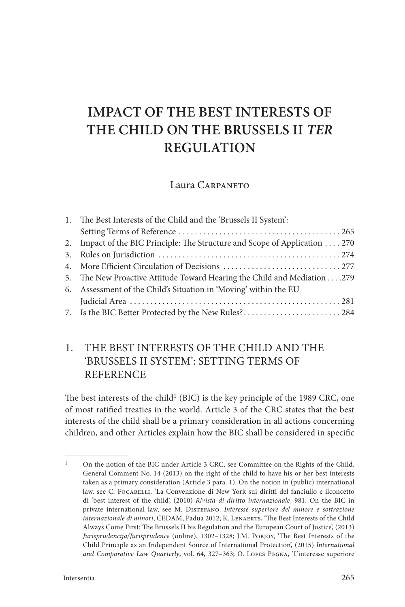# **IMPACT OF THE BEST INTERESTS OF THE CHILD ON THE BRUSSELS II** *TER* **REGULATION**

Laura CARPANETO

| 1. The Best Interests of the Child and the 'Brussels II System':           |
|----------------------------------------------------------------------------|
|                                                                            |
| 2. Impact of the BIC Principle: The Structure and Scope of Application 270 |
|                                                                            |
|                                                                            |
| 5. The New Proactive Attitude Toward Hearing the Child and Mediation 279   |
| 6. Assessment of the Child's Situation in 'Moving' within the EU           |
|                                                                            |
| 7. Is the BIC Better Protected by the New Rules?284                        |

# 1. THE BEST INTERESTS OF THE CHILD AND THE ' BRUSSELS II SYSTEM ' : SETTING TERMS OF **REFERENCE**

The best interests of the child<sup>1</sup> (BIC) is the key principle of the 1989 CRC, one of most ratified treaties in the world. Article 3 of the CRC states that the best interests of the child shall be a primary consideration in all actions concerning children, and other Articles explain how the BIC shall be considered in specific

 $1$  On the notion of the BIC under Article 3 CRC, see Committee on the Rights of the Child, General Comment No. 14 (2013) on the right of the child to have his or her best interests taken as a primary consideration (Article 3 para. 1). On the notion in (public) international law, see C. Focarelli, 'La Convenzione di New York sui diritti del fanciullo e ilconcetto di 'best interest of the child', (2010) *Rivista di diritto internazionale*, 981. On the BIC in private international law, see M. DISTEFANO, *Interesse superiore del minore e sottrazione internazionale di minori*, CEDAM, Padua 2012; K. LENAERTS, 'The Best Interests of the Child Always Come First: The Brussels II bis Regulation and the European Court of Justice', (2013) *Jurisprudencija/Jurisprudence* (online), 1302–1328; J.M. Pobjoy, 'The Best Interests of the Child Principle as an Independent Source of International Protection', (2015) *International* and Comparative Law Quarterly, vol. 64, 327-363; O. Lopes PEGNA, 'L'interesse superiore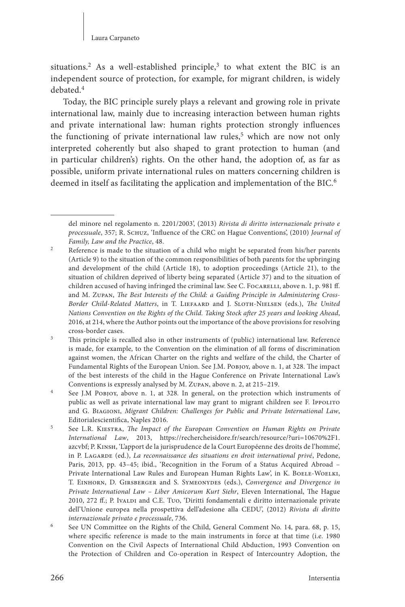situations.<sup>2</sup> As a well-established principle,<sup>3</sup> to what extent the BIC is an independent source of protection, for example, for migrant children, is widely debated. 4

 Today, the BIC principle surely plays a relevant and growing role in private international law, mainly due to increasing interaction between human rights and private international law: human rights protection strongly influences the functioning of private international law rules,<sup>5</sup> which are now not only interpreted coherently but also shaped to grant protection to human (and in particular children's) rights. On the other hand, the adoption of, as far as possible, uniform private international rules on matters concerning children is deemed in itself as facilitating the application and implementation of the BIC.<sup>6</sup>

del minore nel regolamento n. 2201/2003 ' , ( 2013 ) *Rivista di diritto internazionale privato e processuale*, 357; R. SCHUZ, 'Influence of the CRC on Hague Conventions', (2010) *Journal of* 

*Family, Law and the Practice*, 48.<br><sup>2</sup> Reference is made to the situation of a child who might be separated from his/her parents (Article 9) to the situation of the common responsibilities of both parents for the upbringing and development of the child (Article 18), to adoption proceedings (Article 21), to the situation of children deprived of liberty being separated (Article 37) and to the situation of children accused of having infringed the criminal law. See C. FOCARELLI, above n. 1, p. 981 ff. and M. Zupan, *The Best Interests of the Child: a Guiding Principle in Administering Cross-*Border Child-Related Matters, in T. LIEFAARD and J. SLOTH-NIELSEN (eds.), *The United Nations Convention on the Rights of the Child. Taking Stock after 25 years and looking Ahead,* 2016, at 214, where the Author points out the importance of the above provisions for resolving cross-border cases.<br><sup>3</sup> This principle is recalled also in other instruments of (public) international law. Reference

is made, for example, to the Convention on the elimination of all forms of discrimination against women, the African Charter on the rights and welfare of the child, the Charter of Fundamental Rights of the European Union. See J.M. Pobjoy, above n. 1, at 328. The impact of the best interests of the child in the Hague Conference on Private International Law's Conventions is expressly analysed by M. Zupan, above n. 2, at 215–219.<br><sup>4</sup> See J.M Pobjoy, above n. 1, at 328. In general, on the protection which instruments of

public as well as private international law may grant to migrant children see F. Ippolito and G. BIAGIONI, *Migrant Children: Challenges for Public and Private International Law*, Editorialescientifi ca , Naples 2016 . 5 See L.R. Kiestra , *Th e Impact of the European Convention on Human Rights on Private* 

*International Law*, 2013, https://rechercheisidore.fr/search/resource/?uri=10670%2F1. azcvbf; P. KINSH, 'L'apport de la jurisprudence de la Court Européenne des droits de l'homme', in P. LAGARDE (ed.), *La reconnaissance des situations en droit international privé*, Pedone, Paris, 2013, pp. 43-45; ibid., 'Recognition in the Forum of a Status Acquired Abroad -Private International Law Rules and European Human Rights Law', in K. BOELE-WOELKI, T. Einhorn , D. Girsberger and S. Symeonydes (eds.), *Convergence and Divergence in*  Private International Law - Liber Amicorum Kurt Siehr, Eleven International, The Hague 2010, 272 ff.; P. IvalDI and C.E. Tuo, 'Diritti fondamentali e diritto internazionale private dell'Unione europea nella prospettiva dell'adesione alla CEDU', (2012) *Rivista di diritto internazionale privato e processuale*, 736.<br>
<sup>6</sup> See UN Committee on the Rights of the Child, General Comment No. 14, para. 68, p. 15,

where specific reference is made to the main instruments in force at that time (i.e. 1980) Convention on the Civil Aspects of International Child Abduction, 1993 Convention on the Protection of Children and Co-operation in Respect of Intercountry Adoption, the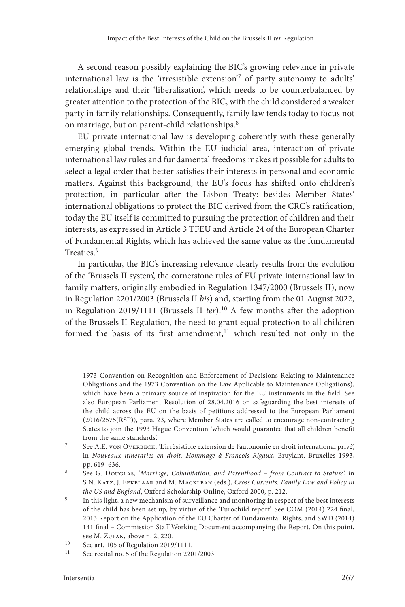A second reason possibly explaining the BIC's growing relevance in private international law is the 'irresistible extension'<sup>7</sup> of party autonomy to adults' relationships and their 'liberalisation', which needs to be counterbalanced by greater attention to the protection of the BIC, with the child considered a weaker party in family relationships. Consequently, family law tends today to focus not on marriage, but on parent-child relationships. 8

 EU private international law is developing coherently with these generally emerging global trends. Within the EU judicial area, interaction of private international law rules and fundamental freedoms makes it possible for adults to select a legal order that better satisfies their interests in personal and economic matters. Against this background, the EU's focus has shifted onto children's protection, in particular after the Lisbon Treaty: besides Member States' international obligations to protect the BIC derived from the CRC's ratification, today the EU itself is committed to pursuing the protection of children and their interests, as expressed in Article 3 TFEU and Article 24 of the European Charter of Fundamental Rights, which has achieved the same value as the fundamental Treaties. 9

In particular, the BIC's increasing relevance clearly results from the evolution of the 'Brussels II system', the cornerstone rules of EU private international law in family matters, originally embodied in Regulation 1347/2000 (Brussels II), now in Regulation 2201/2003 (Brussels II *bis*) and, starting from the 01 August 2022, in Regulation 2019/1111 (Brussels II *ter*).<sup>10</sup> A few months after the adoption of the Brussels II Regulation, the need to grant equal protection to all children formed the basis of its first amendment, $11$  which resulted not only in the

<sup>1973</sup> Convention on Recognition and Enforcement of Decisions Relating to Maintenance Obligations and the 1973 Convention on the Law Applicable to Maintenance Obligations), which have been a primary source of inspiration for the EU instruments in the field. See also European Parliament Resolution of 28.04.2016 on safeguarding the best interests of the child across the EU on the basis of petitions addressed to the European Parliament (2016/2575(RSP)), para. 23, where Member States are called to encourage non-contracting States to join the 1993 Hague Convention 'which would guarantee that all children benefit from the same standards'.

 $\delta$  See A.E. von Overabeck, 'L'irr è sistible extension de l'autonomie en droit international priv é, in *Nouveaux itineraries en droit. Hommage à Francois Rigaux* , Bruylant, Bruxelles 1993, pp. 619–636.<br><sup>8</sup> See G. Douglas, '*Marriage, Cohabitation, and Parenthood – from Contract to Status?*', in

S.N. Katz , J. Eekelaar and M. Macklean (eds.), *Cross Currents: Family Law and Policy in* 

*the US and England*, Oxford Scholarship Online, Oxford 2000, p. 212.<br><sup>9</sup> In this light, a new mechanism of surveillance and monitoring in respect of the best interests of the child has been set up, by virtue of the 'Eurochild report'. See COM (2014) 224 final, 2013 Report on the Application of the EU Charter of Fundamental Rights, and SWD (2014) 141 final - Commission Staff Working Document accompanying the Report. On this point, see M. Zupan, above n. 2, 220.<br><sup>10</sup> See art. 105 of Regulation 2019/1111.<br><sup>11</sup> See assitel ns. 5 of the Perulation 220.

See recital no. 5 of the Regulation 2201/2003.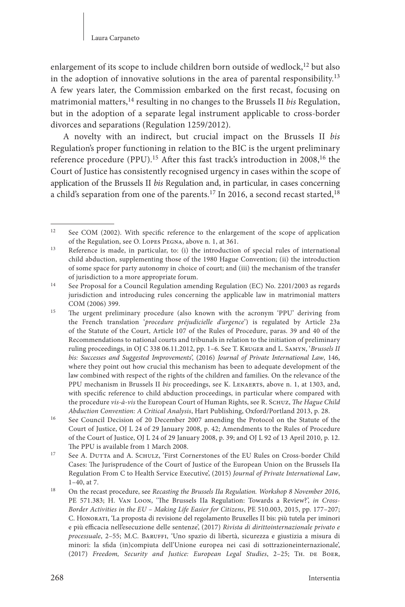#### Laura Carpaneto

enlargement of its scope to include children born outside of wedlock, 12 but also in the adoption of innovative solutions in the area of parental responsibility.<sup>13</sup> A few years later, the Commission embarked on the first recast, focusing on matrimonial matters, 14 resulting in no changes to the Brussels II *bis* Regulation, but in the adoption of a separate legal instrument applicable to cross-border divorces and separations (Regulation 1259/2012).

 A novelty with an indirect, but crucial impact on the Brussels II *bis* Regulation's proper functioning in relation to the BIC is the urgent preliminary reference procedure (PPU).<sup>15</sup> After this fast track's introduction in 2008,<sup>16</sup> the Court of Justice has consistently recognised urgency in cases within the scope of application of the Brussels II *bis* Regulation and, in particular, in cases concerning a child's separation from one of the parents.<sup>17</sup> In 2016, a second recast started,<sup>18</sup>

 $12$  See COM (2002). With specific reference to the enlargement of the scope of application of the Regulation, see O. Lopes Pegna, above n. 1, at 361.<br><sup>13</sup> Reference is made, in particular, to: (i) the introduction of special rules of international

child abduction, supplementing those of the 1980 Hague Convention; (ii) the introduction of some space for party autonomy in choice of court; and (iii) the mechanism of the transfer

of jurisdiction to a more appropriate forum. 14 See Proposal for a Council Regulation amending Regulation (EC) No. 2201/2003 as regards jurisdiction and introducing rules concerning the applicable law in matrimonial matters COM (2006) 399. 15 The urgent preliminary procedure (also known with the acronym 'PPU' deriving from

the French translation 'procedure préjudicielle d'urgence') is regulated by Article 23a of the Statute of the Court, Article 107 of the Rules of Procedure, paras. 39 and 40 of the Recommendations to national courts and tribunals in relation to the initiation of preliminary ruling proceedings, in OJ C 338 06.11.2012, pp. 1 – 6. See T. Kruger and L. Samyn , ' *Brussels II bis: Successes and Suggested Improvements* ', (2016) *Journal of Private International Law* , 146, where they point out how crucial this mechanism has been to adequate development of the law combined with respect of the rights of the children and families. On the relevance of the PPU mechanism in Brussels II *bis* proceedings, see K. Lenaerts , above n. 1, at 1303, and, with specific reference to child abduction proceedings, in particular where compared with the procedure *vis-à-vis* the European Court of Human Rights, see R. SCHUZ, *The Hague Child Abduction Convention: A Critical Analysis*, Hart Publishing, Oxford/Portland 2013, p. 28.

<sup>&</sup>lt;sup>16</sup> See Council Decision of 20 December 2007 amending the Protocol on the Statute of the Court of Justice, OJ L 24 of 29 January 2008, p. 42; Amendments to the Rules of Procedure of the Court of Justice, OJ L 24 of 29 January 2008, p. 39; and OJ L 92 of 13 April 2010, p. 12. The PPU is available from 1 March 2008.<br><sup>17</sup> See A. Dutta and A. Schulz, 'First Cornerstones of the EU Rules on Cross-border Child

Cases: The Jurisprudence of the Court of Justice of the European Union on the Brussels IIa Regulation From C to Health Service Executive', (2015) *Journal of Private International Law*, 1 – 40 , at 7. 18 On the recast procedure, see *Recasting the Brussels IIa Regulation. Workshop 8 November 2016* ,

PE 571.383; H. VAN LOON, 'The Brussels IIa Regulation: Towards a Review?', in Cross-*Border Activities in the EU - Making Life Easier for Citizens*, PE 510.003, 2015, pp. 177-207; C. Honorati, 'La proposta di revisione del regolamento Bruxelles II bis: più tutela per iminori e più efficacia nell'esecuzione delle sentenze', (2017) *Rivista di dirittointernazionale privato e* processuale, 2-55; M.C. BARUFFI, 'Uno spazio di libertà, sicurezza e giustizia a misura di minori: la sfida (in)compiuta dell'Unione europea nei casi di sottrazioneinternazionale', (2017) *Freedom, Security and Justice: European Legal Studies*, 2-25; TH. DE BOER,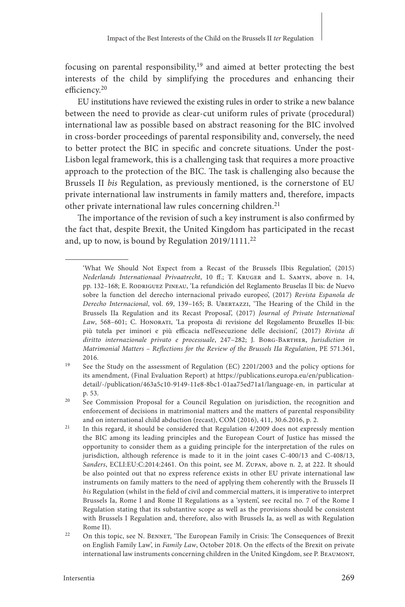focusing on parental responsibility,  $19$  and aimed at better protecting the best interests of the child by simplifying the procedures and enhancing their efficiency.<sup>20</sup>

 EU institutions have reviewed the existing rules in order to strike a new balance between the need to provide as clear-cut uniform rules of private (procedural) international law as possible based on abstract reasoning for the BIC involved in cross-border proceedings of parental responsibility and, conversely, the need to better protect the BIC in specific and concrete situations. Under the post-Lisbon legal framework, this is a challenging task that requires a more proactive approach to the protection of the BIC. The task is challenging also because the Brussels II *bis* Regulation, as previously mentioned, is the cornerstone of EU private international law instruments in family matters and, therefore, impacts other private international law rules concerning children.<sup>21</sup>

The importance of the revision of such a key instrument is also confirmed by the fact that, despite Brexit, the United Kingdom has participated in the recast and, up to now, is bound by Regulation 2019/1111.<sup>22</sup>

<sup>&#</sup>x27; What We Should Not Expect from a Recast of the Brussels IIbis Regulation', (2015) *Nederlands Internationaal Privaatrecht*, 10 ff.; T. KRUGER and L. SAMYN, above n. 14, pp. 132-168; E. RODRIGUEZ PINEAU, 'La refundición del Reglamento Bruselas II bis: de Nuevo sobre la function del derecho internacional privado europeo, (2017) *Revista Espanola de Derecho Internacional*, vol. 69, 139-165; B. UBERTAZZI, 'The Hearing of the Child in the Brussels IIa Regulation and its Recast Proposal', (2017) *Journal of Private International* Law, 568-601; C. HONORATI, 'La proposta di revisione del Regolamento Bruxelles II-bis: più tutela per iminori e più efficacia nell'esecuzione delle decisioni', (2017) *Rivista di* diritto internazionale privato e processuale, 247-282; J. BORG-BARTHER, *Jurisdiction in Matrimonial Matters - Reflections for the Review of the Brussels IIa Regulation*, PE 571.361, 2016.<br><sup>19</sup> See the Study on the assessment of Regulation (EC) 2201/2003 and the policy options for

its amendment, (Final Evaluation Report) at https://publications.europa.eu/en/publicationdetail/-/publication/463a5c10-9149-11e8-8bc1-01aa75ed71a1/language-en , in particular at p. 53. 20 See Commission Proposal for a Council Regulation on jurisdiction, the recognition and

enforcement of decisions in matrimonial matters and the matters of parental responsibility

and on international child abduction (recast), COM (2016), 411, 30.6.2016, p. 2.<br><sup>21</sup> In this regard, it should be considered that Regulation 4/2009 does not expressly mention the BIC among its leading principles and the European Court of Justice has missed the opportunity to consider them as a guiding principle for the interpretation of the rules on jurisdiction, although reference is made to it in the joint cases C-400/13 and C-408/13, Sanders, ECLI:EU:C:2014:2461. On this point, see M. ZUPAN, above n. 2, at 222. It should be also pointed out that no express reference exists in other EU private international law instruments on family matters to the need of applying them coherently with the Brussels II bis Regulation (whilst in the field of civil and commercial matters, it is imperative to interpret Brussels Ia, Rome I and Rome II Regulations as a 'system', see recital no. 7 of the Rome I Regulation stating that its substantive scope as well as the provisions should be consistent with Brussels I Regulation and, therefore, also with Brussels Ia, as well as with Regulation Rome II).<br><sup>22</sup> On this topic, see N. BENNET, 'The European Family in Crisis: The Consequences of Brexit

on English Family Law', in *Family Law*, October 2018. On the effects of the Brexit on private international law instruments concerning children in the United Kingdom, see P. BEAUMONT,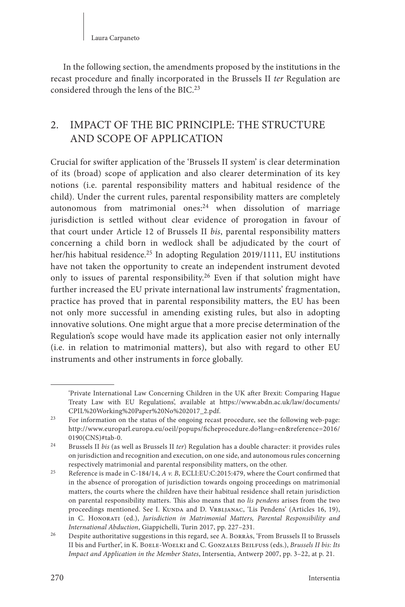Laura Carpaneto

 In the following section, the amendments proposed by the institutions in the recast procedure and finally incorporated in the Brussels II ter Regulation are considered through the lens of the BIC.<sup>23</sup>

# 2. IMPACT OF THE BIC PRINCIPLE: THE STRUCTURE AND SCOPE OF APPLICATION

Crucial for swifter application of the 'Brussels II system' is clear determination of its (broad) scope of application and also clearer determination of its key notions (i.e. parental responsibility matters and habitual residence of the child). Under the current rules, parental responsibility matters are completely autonomous from matrimonial ones: $24$  when dissolution of marriage jurisdiction is settled without clear evidence of prorogation in favour of that court under Article 12 of Brussels II *bis* , parental responsibility matters concerning a child born in wedlock shall be adjudicated by the court of her/his habitual residence.<sup>25</sup> In adopting Regulation 2019/1111, EU institutions have not taken the opportunity to create an independent instrument devoted only to issues of parental responsibility.<sup>26</sup> Even if that solution might have further increased the EU private international law instruments' fragmentation, practice has proved that in parental responsibility matters, the EU has been not only more successful in amending existing rules, but also in adopting innovative solutions. One might argue that a more precise determination of the Regulation's scope would have made its application easier not only internally (i.e. in relation to matrimonial matters), but also with regard to other EU instruments and other instruments in force globally.

<sup>&#</sup>x27;Private International Law Concerning Children in the UK after Brexit: Comparing Hague Treaty Law with EU Regulations', available at https://www.abdn.ac.uk/law/documents/<br>CPIL%20Working%20Paper%20No%202017 2.pdf.

<sup>&</sup>lt;sup>23</sup> For information on the status of the ongoing recast procedure, see the following web-page: http://www.europarl.europa.eu/oeil/popups/ficheprocedure.do?lang=en&reference=2016/0190(CNS)#tab-0.

<sup>&</sup>lt;sup>24</sup> Brussels II *bis* (as well as Brussels II *ter*) Regulation has a double character: it provides rules on jurisdiction and recognition and execution, on one side, and autonomous rules concerning respectively matrimonial and parental responsibility matters, on the other.<br><sup>25</sup> Reference is made in C-184/14, *A v. B*, ECLI:EU:C:2015:479, where the Court confirmed that

in the absence of prorogation of jurisdiction towards ongoing proceedings on matrimonial matters, the courts where the children have their habitual residence shall retain jurisdiction on parental responsibility matters. This also means that no *lis pendens* arises from the two proceedings mentioned. See I. KUNDA and D. VRBLJANAC, 'Lis Pendens' (Articles 16, 19), in C. Honorati (ed.), *Jurisdiction in Matrimonial Matters, Parental Responsibility and International Abduction*, Giappichelli, Turin 2017, pp. 227–231.<br><sup>26</sup> Despite authoritative suggestions in this regard, see A. Borraàs, 'From Brussels II to Brussels

II bis and Further', in K. BOELE-WOELKI and C. GONZALES BEILFUSS (eds.), *Brussels II bis: Its Impact and Application in the Member States*, Intersentia, Antwerp 2007, pp. 3–22, at p. 21.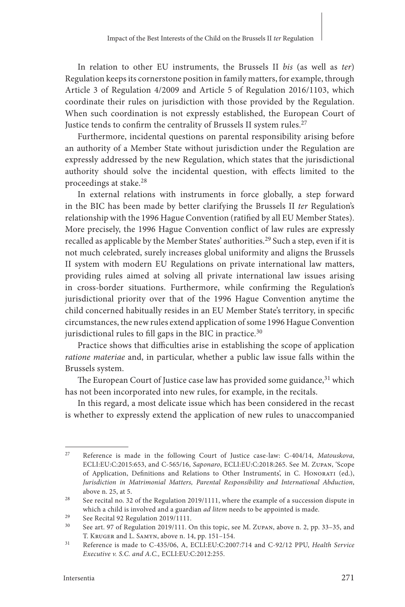In relation to other EU instruments, the Brussels II *bis* (as well as *ter* ) Regulation keeps its cornerstone position in family matters, for example, through Article 3 of Regulation 4/2009 and Article 5 of Regulation 2016/1103, which coordinate their rules on jurisdiction with those provided by the Regulation. When such coordination is not expressly established, the European Court of Justice tends to confirm the centrality of Brussels II system rules.<sup>27</sup>

 Furthermore, incidental questions on parental responsibility arising before an authority of a Member State without jurisdiction under the Regulation are expressly addressed by the new Regulation, which states that the jurisdictional authority should solve the incidental question, with effects limited to the proceedings at stake. 28

 In external relations with instruments in force globally, a step forward in the BIC has been made by better clarifying the Brussels II *ter* Regulation's relationship with the 1996 Hague Convention (ratified by all EU Member States). More precisely, the 1996 Hague Convention conflict of law rules are expressly recalled as applicable by the Member States' authorities.<sup>29</sup> Such a step, even if it is not much celebrated, surely increases global uniformity and aligns the Brussels II system with modern EU Regulations on private international law matters, providing rules aimed at solving all private international law issues arising in cross-border situations. Furthermore, while confirming the Regulation's jurisdictional priority over that of the 1996 Hague Convention anytime the child concerned habitually resides in an EU Member State's territory, in specific circumstances, the new rules extend application of some 1996 Hague Convention jurisdictional rules to fill gaps in the BIC in practice. $30$ 

Practice shows that difficulties arise in establishing the scope of application *ratione materiae* and, in particular, whether a public law issue falls within the Brussels system.

The European Court of Justice case law has provided some guidance,<sup>31</sup> which has not been incorporated into new rules, for example, in the recitals.

 In this regard, a most delicate issue which has been considered in the recast is whether to expressly extend the application of new rules to unaccompanied

<sup>27</sup> Reference is made in the following Court of Justice case-law: C-404/14, *Matouskova* , ECLI:EU:C:2015:653 , and C-565/16, *Saponaro* , ECLI:EU:C:2018:265 . See M. Zupan , ' Scope of Application, Definitions and Relations to Other Instruments', in C. HONORATI (ed.), *Jurisdiction in Matrimonial Matters, Parental Responsibility and International Abduction* , above n. 25, at 5.<br><sup>28</sup> See recital no. 32 of the Regulation 2019/1111, where the example of a succession dispute in

which a child is involved and a guardian *ad litem* needs to be appointed is made.<br><sup>29</sup> See Recital 92 Regulation 2019/1111.<br><sup>30</sup> See art, 97 of Perulation 2019/111. On this tonic see M. ZUPAN, shows n. 2, nn

See art. 97 of Regulation 2019/111. On this topic, see M. ZUPAN, above n. 2, pp. 33-35, and T. KRUGER and L. SAMYN, above n. 14, pp. 151–154.<br><sup>31</sup> Reference is made to C-435/06, A, ECLI:EU:C:2007:714 and C-92/12 PPU, *Health Service* 

*Executive v. S.C. and A.C.,* ECLI:EU:C:2012:255.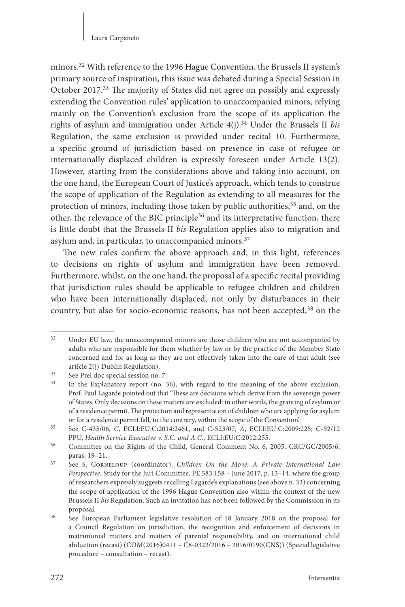minors.<sup>32</sup> With reference to the 1996 Hague Convention, the Brussels II system's primary source of inspiration, this issue was debated during a Special Session in October 2017.<sup>33</sup> The majority of States did not agree on possibly and expressly extending the Convention rules' application to unaccompanied minors, relying mainly on the Convention's exclusion from the scope of its application the rights of asylum and immigration under Article 4(j). 34 Under the Brussels II *bis* Regulation, the same exclusion is provided under recital 10. Furthermore, a specific ground of jurisdiction based on presence in case of refugee or internationally displaced children is expressly foreseen under Article 13(2). However, starting from the considerations above and taking into account, on the one hand, the European Court of Justice's approach, which tends to construe the scope of application of the Regulation as extending to all measures for the protection of minors, including those taken by public authorities,  $35$  and, on the other, the relevance of the BIC principle<sup>36</sup> and its interpretative function, there is little doubt that the Brussels II *bis* Regulation applies also to migration and asylum and, in particular, to unaccompanied minors. 37

The new rules confirm the above approach and, in this light, references to decisions on rights of asylum and immigration have been removed. Furthermore, whilst, on the one hand, the proposal of a specific recital providing that jurisdiction rules should be applicable to refugee children and children who have been internationally displaced, not only by disturbances in their country, but also for socio-economic reasons, has not been accepted,<sup>38</sup> on the

<sup>&</sup>lt;sup>32</sup> Under EU law, the unaccompanied minors are those children who are not accompanied by adults who are responsible for them whether by law or by the practice of the Member State concerned and for as long as they are not effectively taken into the care of that adult (see

article 2(j) Dublin Regulation).<br> $3^3$  See Prel doc special session no. 7.<br> $3^4$  In the Evplanatory report (pe)

In the Explanatory report (no. 36), with regard to the meaning of the above exclusion, Prof. Paul Lagarde pointed out that 'These are decisions which derive from the sovereign power of States. Only decisions on these matters are excluded: in other words, the granting of asylum or of a residence permit. The protection and representation of children who are applying for asylum

or for a residence permit fall, to the contrary, within the scope of the Convention.<br>
See C-435/06, *C*, ECLI:EU:C:2014:2461, and C-523/07, *A*, ECLI:EU:C:2009:225; C-92/12<br>
PPU, *Health Service Executive v. S.C. and A.C.* 

<sup>&</sup>lt;sup>36</sup> Committee on the Rights of the Child, General Comment No. 6, 2005, CRC/GC/2005/6, paras. 19-21.<br><sup>37</sup> See S. CORNELOUP (coordinator), *Children On the Move: A Private International Law* 

*Perspective*, Study for the Juri Committee, PE 583.158 – June 2017, p. 13-14, where the group of researchers expressly suggests recalling Lagarde's explanations (see above n. 33) concerning the scope of application of the 1996 Hague Convention also within the context of the new Brussels II *bis* Regulation. Such an invitation has not been followed by the Commission in its

proposal. 38 See European Parliament legislative resolution of 18 January 2018 on the proposal for a Council Regulation on jurisdiction, the recognition and enforcement of decisions in matrimonial matters and matters of parental responsibility, and on international child abduction (recast) ( COM(2016)0411 – C8-0322/2016 – 2016/0190(CNS) ) (Special legislative procedure – consultation – recast).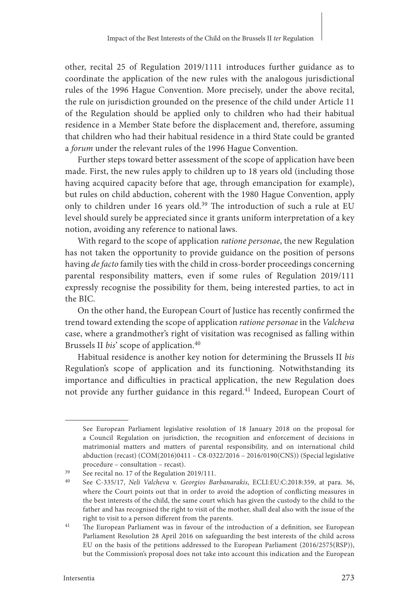other, recital 25 of Regulation 2019/1111 introduces further guidance as to coordinate the application of the new rules with the analogous jurisdictional rules of the 1996 Hague Convention. More precisely, under the above recital, the rule on jurisdiction grounded on the presence of the child under Article 11 of the Regulation should be applied only to children who had their habitual residence in a Member State before the displacement and, therefore, assuming that children who had their habitual residence in a third State could be granted a *forum* under the relevant rules of the 1996 Hague Convention.

 Further steps toward better assessment of the scope of application have been made. First, the new rules apply to children up to 18 years old (including those having acquired capacity before that age, through emancipation for example), but rules on child abduction, coherent with the 1980 Hague Convention, apply only to children under 16 years old.<sup>39</sup> The introduction of such a rule at EU level should surely be appreciated since it grants uniform interpretation of a key notion, avoiding any reference to national laws.

 With regard to the scope of application *ratione personae* , the new Regulation has not taken the opportunity to provide guidance on the position of persons having *de facto* family ties with the child in cross-border proceedings concerning parental responsibility matters, even if some rules of Regulation 2019/111 expressly recognise the possibility for them, being interested parties, to act in the BIC.

On the other hand, the European Court of Justice has recently confirmed the trend toward extending the scope of application *ratione personae* in the *Valcheva* case, where a grandmother's right of visitation was recognised as falling within Brussels II *bis*' scope of application.<sup>40</sup>

 Habitual residence is another key notion for determining the Brussels II *bis* Regulation's scope of application and its functioning. Notwithstanding its importance and difficulties in practical application, the new Regulation does not provide any further guidance in this regard.<sup>41</sup> Indeed, European Court of

See European Parliament legislative resolution of 18 January 2018 on the proposal for a Council Regulation on jurisdiction, the recognition and enforcement of decisions in matrimonial matters and matters of parental responsibility, and on international child abduction (recast) ( COM(2016)0411 – C8-0322/2016 – 2016/0190(CNS) ) (Special legislative

procedure – consultation – recast).<br>
See recital no. 17 of the Regulation 2019/111.<br>
See C 335/17, Mali Valchaus v. Conraige Pa

<sup>40</sup> See C-335/17, *Neli Valcheva* v. *Georgios Barbanarakis* , ECLI:EU:C:2018:359 , at para. 36, where the Court points out that in order to avoid the adoption of conflicting measures in the best interests of the child, the same court which has given the custody to the child to the father and has recognised the right to visit of the mother, shall deal also with the issue of the right to visit to a person different from the parents.<br><sup>41</sup> The European Parliament was in favour of the introduction of a definition, see European

Parliament Resolution 28 April 2016 on safeguarding the best interests of the child across EU on the basis of the petitions addressed to the European Parliament (2016/2575(RSP)), but the Commission's proposal does not take into account this indication and the European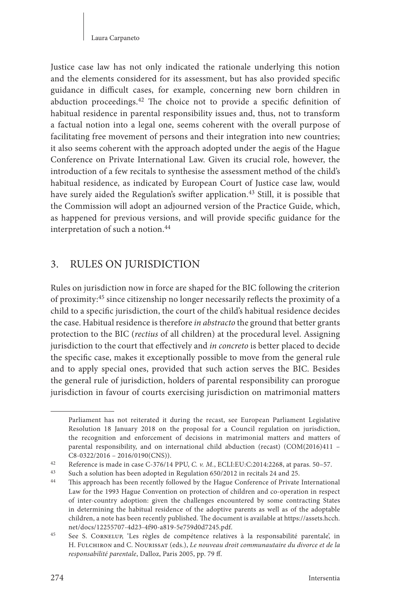Justice case law has not only indicated the rationale underlying this notion and the elements considered for its assessment, but has also provided specific guidance in difficult cases, for example, concerning new born children in abduction proceedings.<sup>42</sup> The choice not to provide a specific definition of habitual residence in parental responsibility issues and, thus, not to transform a factual notion into a legal one, seems coherent with the overall purpose of facilitating free movement of persons and their integration into new countries; it also seems coherent with the approach adopted under the aegis of the Hague Conference on Private International Law. Given its crucial role, however, the introduction of a few recitals to synthesise the assessment method of the child's habitual residence, as indicated by European Court of Justice case law, would have surely aided the Regulation's swifter application.<sup>43</sup> Still, it is possible that the Commission will adopt an adjourned version of the Practice Guide, which, as happened for previous versions, and will provide specific guidance for the interpretation of such a notion. 44

#### 3. RULES ON JURISDICTION

 Rules on jurisdiction now in force are shaped for the BIC following the criterion of proximity:<sup>45</sup> since citizenship no longer necessarily reflects the proximity of a child to a specific jurisdiction, the court of the child's habitual residence decides the case. Habitual residence is therefore *in abstracto* the ground that better grants protection to the BIC ( *rectius* of all children) at the procedural level. Assigning jurisdiction to the court that effectively and *in concreto* is better placed to decide the specific case, makes it exceptionally possible to move from the general rule and to apply special ones, provided that such action serves the BIC. Besides the general rule of jurisdiction, holders of parental responsibility can prorogue jurisdiction in favour of courts exercising jurisdiction on matrimonial matters

Parliament has not reiterated it during the recast, see European Parliament Legislative Resolution 18 January 2018 on the proposal for a Council regulation on jurisdiction, the recognition and enforcement of decisions in matrimonial matters and matters of parental responsibility, and on international child abduction (recast) (COM(2016)411 –

C8-0322/2016 – 2016/0190(CNS)).<br>
<sup>42</sup> Reference is made in case C-376/14 PPU, *C. v. M.*, ECLI:EU:C:2014:2268, at paras. 50–57.<br>
<sup>43</sup> Such a solution has been adopted in Regulation 650/2012 in recitals 24 and 25.<br>
<sup>44</sup> Thi

This approach has been recently followed by the Hague Conference of Private International Law for the 1993 Hague Convention on protection of children and co-operation in respect of inter-country adoption: given the challenges encountered by some contracting States in determining the habitual residence of the adoptive parents as well as of the adoptable children, a note has been recently published. The document is available at https://assets.hcch. net/docs/12255707-4d23-4f90-a819-5e759d0d7245.pdf.<br><sup>45</sup> See S. CORNELUP, 'Les règles de compétence relatives à la responsabilité parentale', in

H. Fulchiron and C. Nourissat (eds.), *Le nouveau droit communautaire du divorce et de la*  responsabilité parentale, Dalloz, Paris 2005, pp. 79 ff.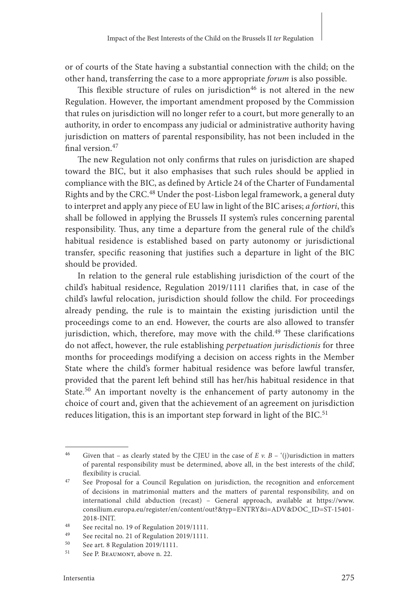or of courts of the State having a substantial connection with the child; on the other hand, transferring the case to a more appropriate *forum* is also possible.

This flexible structure of rules on jurisdiction<sup>46</sup> is not altered in the new Regulation. However, the important amendment proposed by the Commission that rules on jurisdiction will no longer refer to a court, but more generally to an authority, in order to encompass any judicial or administrative authority having jurisdiction on matters of parental responsibility, has not been included in the final version. $47$ 

The new Regulation not only confirms that rules on jurisdiction are shaped toward the BIC, but it also emphasises that such rules should be applied in compliance with the BIC, as defined by Article 24 of the Charter of Fundamental Rights and by the CRC. 48 Under the post-Lisbon legal framework, a general duty to interpret and apply any piece of EU law in light of the BIC arises; *a fortiori* , this shall be followed in applying the Brussels II system's rules concerning parental responsibility. Thus, any time a departure from the general rule of the child's habitual residence is established based on party autonomy or jurisdictional transfer, specific reasoning that justifies such a departure in light of the BIC should be provided.

 In relation to the general rule establishing jurisdiction of the court of the child's habitual residence, Regulation  $2019/1111$  clarifies that, in case of the child's lawful relocation, jurisdiction should follow the child. For proceedings already pending, the rule is to maintain the existing jurisdiction until the proceedings come to an end. However, the courts are also allowed to transfer jurisdiction, which, therefore, may move with the child.<sup>49</sup> These clarifications do not aff ect, however, the rule establishing *perpetuation jurisdictionis* for three months for proceedings modifying a decision on access rights in the Member State where the child's former habitual residence was before lawful transfer, provided that the parent left behind still has her/his habitual residence in that State.<sup>50</sup> An important novelty is the enhancement of party autonomy in the choice of court and, given that the achievement of an agreement on jurisdiction reduces litigation, this is an important step forward in light of the BIC.<sup>51</sup>

<sup>&</sup>lt;sup>46</sup> Given that – as clearly stated by the CJEU in the case of  $E \nu$ .  $B - \binom{r}{j}$ urisdiction in matters of parental responsibility must be determined, above all, in the best interests of the child', fl exibility is crucial.<br>
47 See Proposal for a Council Regulation on jurisdiction, the recognition and enforcement

of decisions in matrimonial matters and the matters of parental responsibility, and on international child abduction (recast) – General approach, available at https://www. consilium.europa.eu/register/en/content/out?&typ=ENTRY&i=ADV&DOC\_ID=ST-15401-

<sup>2018-</sup>INIT.<br>
<sup>48</sup> See recital no. 19 of Regulation 2019/1111.<br>
<sup>49</sup> See recital no. 21 of Begulation 2019/1111.

<sup>&</sup>lt;sup>49</sup> See recital no. 21 of Regulation 2019/1111.

 $50$  See art. 8 Regulation 2019/1111.

See P. BEAUMONT, above n. 22.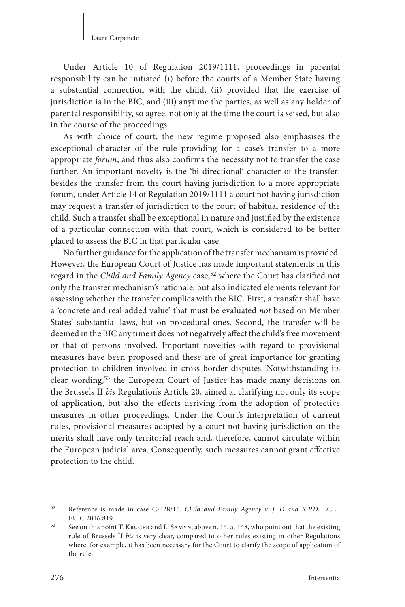Under Article 10 of Regulation 2019/1111, proceedings in parental responsibility can be initiated (i) before the courts of a Member State having a substantial connection with the child, (ii) provided that the exercise of jurisdiction is in the BIC, and (iii) anytime the parties, as well as any holder of parental responsibility, so agree, not only at the time the court is seised, but also in the course of the proceedings.

 As with choice of court, the new regime proposed also emphasises the exceptional character of the rule providing for a case's transfer to a more appropriate *forum*, and thus also confirms the necessity not to transfer the case further. An important novelty is the 'bi-directional' character of the transfer: besides the transfer from the court having jurisdiction to a more appropriate forum, under Article 14 of Regulation 2019/1111 a court not having jurisdiction may request a transfer of jurisdiction to the court of habitual residence of the child. Such a transfer shall be exceptional in nature and justified by the existence of a particular connection with that court, which is considered to be better placed to assess the BIC in that particular case.

 No further guidance for the application of the transfer mechanism is provided. However, the European Court of Justice has made important statements in this regard in the *Child and Family Agency* case,<sup>52</sup> where the Court has clarified not only the transfer mechanism's rationale, but also indicated elements relevant for assessing whether the transfer complies with the BIC. First, a transfer shall have a ' concrete and real added value ' that must be evaluated *not* based on Member States' substantial laws, but on procedural ones. Second, the transfer will be deemed in the BIC any time it does not negatively affect the child's free movement or that of persons involved. Important novelties with regard to provisional measures have been proposed and these are of great importance for granting protection to children involved in cross-border disputes. Notwithstanding its clear wording, 53 the European Court of Justice has made many decisions on the Brussels II *bis* Regulation's Article 20, aimed at clarifying not only its scope of application, but also the effects deriving from the adoption of protective measures in other proceedings. Under the Court's interpretation of current rules, provisional measures adopted by a court not having jurisdiction on the merits shall have only territorial reach and, therefore, cannot circulate within the European judicial area. Consequently, such measures cannot grant effective protection to the child.

<sup>52</sup> Reference is made in case C-428/15, *Child and Family Agency v. J. D and R.P.D*, ECLI: EU:C:2016:819.<br><sup>53</sup> See on this point T. Kruger and L. SAMYN, above n. 14, at 148, who point out that the existing

rule of Brussels II *bis* is very clear, compared to other rules existing in other Regulations where, for example, it has been necessary for the Court to clarify the scope of application of the rule.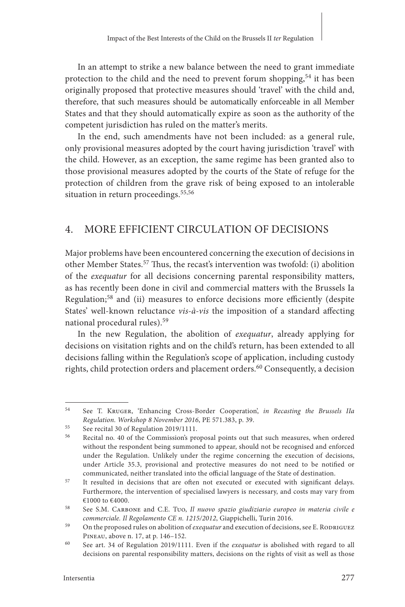In an attempt to strike a new balance between the need to grant immediate protection to the child and the need to prevent forum shopping, $54$  it has been originally proposed that protective measures should 'travel' with the child and, therefore, that such measures should be automatically enforceable in all Member States and that they should automatically expire as soon as the authority of the competent jurisdiction has ruled on the matter's merits.

 In the end, such amendments have not been included: as a general rule, only provisional measures adopted by the court having jurisdiction 'travel' with the child. However, as an exception, the same regime has been granted also to those provisional measures adopted by the courts of the State of refuge for the protection of children from the grave risk of being exposed to an intolerable situation in return proceedings.<sup>55,56</sup>

#### 4. MORE EFFICIENT CIRCULATION OF DECISIONS

 Major problems have been encountered concerning the execution of decisions in other Member States.<sup>57</sup> Thus, the recast's intervention was twofold: (i) abolition of the *exequatur* for all decisions concerning parental responsibility matters, as has recently been done in civil and commercial matters with the Brussels Ia Regulation;<sup>58</sup> and (ii) measures to enforce decisions more efficiently (despite States' well-known reluctance *vis-à-vis* the imposition of a standard affecting national procedural rules). 59

In the new Regulation, the abolition of *exequatur*, already applying for decisions on visitation rights and on the child's return, has been extended to all decisions falling within the Regulation's scope of application, including custody rights, child protection orders and placement orders. 60 Consequently, a decision

<sup>54</sup> See T. KRUGER, 'Enhancing Cross-Border Cooperation', *in Recasting the Brussels IIa Regulation. Workshop 8 November 2016*, PE 571.383, p. 39.<br><sup>55</sup> See recital 30 of Regulation 2019/1111.<br><sup>56</sup> Recital no. 40 of the Commission's proposal points out the

Recital no. 40 of the Commission's proposal points out that such measures, when ordered without the respondent being summoned to appear, should not be recognised and enforced under the Regulation. Unlikely under the regime concerning the execution of decisions, under Article 35.3, provisional and protective measures do not need to be notified or communicated, neither translated into the official language of the State of destination.<br>It resulted in decisions that are often not executed or executed with significant delays.

Furthermore, the intervention of specialised lawyers is necessary, and costs may vary from € 1000 to € 4000. 58 See S.M. Carbone and C.E. Tuo , *Il nuovo spazio giudiziario europeo in materia civile e* 

*commerciale. Il Regolamento CE n. 1215/2012*, Giappichelli, Turin 2016.<br><sup>59</sup> On the proposed rules on abolition of *exequatur* and execution of decisions, see E. RODRIGUEZ

PINEAU, above n. 17, at p. 146–152.<br><sup>60</sup> See art. 34 of Regulation 2019/1111. Even if the *exequatur* is abolished with regard to all

decisions on parental responsibility matters, decisions on the rights of visit as well as those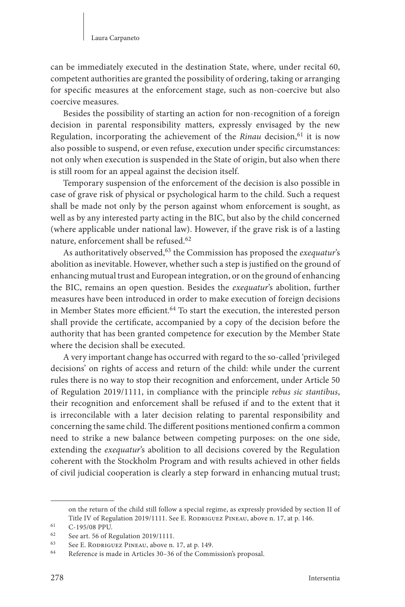can be immediately executed in the destination State, where, under recital 60, competent authorities are granted the possibility of ordering, taking or arranging for specific measures at the enforcement stage, such as non-coercive but also coercive measures.

 Besides the possibility of starting an action for non-recognition of a foreign decision in parental responsibility matters, expressly envisaged by the new Regulation, incorporating the achievement of the *Rinau* decision,<sup>61</sup> it is now also possible to suspend, or even refuse, execution under specific circumstances: not only when execution is suspended in the State of origin, but also when there is still room for an appeal against the decision itself.

 Temporary suspension of the enforcement of the decision is also possible in case of grave risk of physical or psychological harm to the child. Such a request shall be made not only by the person against whom enforcement is sought, as well as by any interested party acting in the BIC, but also by the child concerned (where applicable under national law). However, if the grave risk is of a lasting nature, enforcement shall be refused. 62

As authoritatively observed,<sup>63</sup> the Commission has proposed the *exequatur's* abolition as inevitable. However, whether such a step is justified on the ground of enhancing mutual trust and European integration, or on the ground of enhancing the BIC, remains an open question. Besides the *exequatur*'s abolition, further measures have been introduced in order to make execution of foreign decisions in Member States more efficient.<sup>64</sup> To start the execution, the interested person shall provide the certificate, accompanied by a copy of the decision before the authority that has been granted competence for execution by the Member State where the decision shall be executed.

A very important change has occurred with regard to the so-called 'privileged decisions' on rights of access and return of the child: while under the current rules there is no way to stop their recognition and enforcement, under Article 50 of Regulation 2019/1111, in compliance with the principle *rebus sic stantibus* , their recognition and enforcement shall be refused if and to the extent that it is irreconcilable with a later decision relating to parental responsibility and concerning the same child. The different positions mentioned confirm a common need to strike a new balance between competing purposes: on the one side, extending the *exequatur's* abolition to all decisions covered by the Regulation coherent with the Stockholm Program and with results achieved in other fields of civil judicial cooperation is clearly a step forward in enhancing mutual trust;

on the return of the child still follow a special regime, as expressly provided by section II of Title IV of Regulation 2019/1111. See E. RODRIGUEZ PINEAU, above n. 17, at p. 146.<br>
61 C-195/08 PPU.<br>
62 See art, 56 of Begulation 2019/1111.

 $62$  See art. 56 of Regulation 2019/1111.

<sup>&</sup>lt;sup>63</sup> See E. RODRIGUEZ PINEAU, above n. 17, at p. 149.<br><sup>64</sup> Peference is made in Articles <sup>30, 36</sup> of the Comm

Reference is made in Articles 30-36 of the Commission's proposal.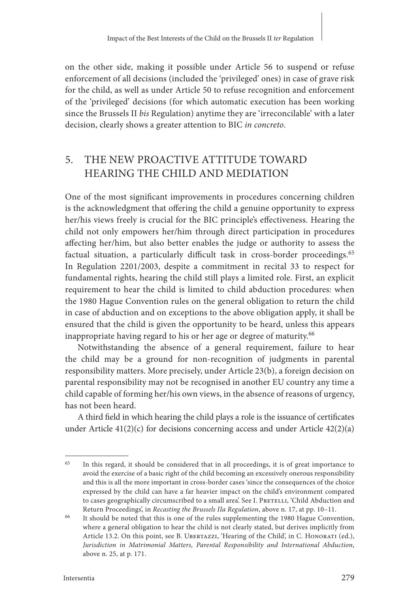on the other side, making it possible under Article 56 to suspend or refuse enforcement of all decisions (included the 'privileged' ones) in case of grave risk for the child, as well as under Article 50 to refuse recognition and enforcement of the 'privileged' decisions (for which automatic execution has been working since the Brussels II *bis* Regulation) anytime they are 'irreconcilable' with a later decision, clearly shows a greater attention to BIC *in concreto* .

# 5. THE NEW PROACTIVE ATTITUDE TOWARD HEARING THE CHILD AND MEDIATION

One of the most significant improvements in procedures concerning children is the acknowledgment that offering the child a genuine opportunity to express her/his views freely is crucial for the BIC principle's effectiveness. Hearing the child not only empowers her/him through direct participation in procedures affecting her/him, but also better enables the judge or authority to assess the factual situation, a particularly difficult task in cross-border proceedings.<sup>65</sup> In Regulation 2201/2003, despite a commitment in recital 33 to respect for fundamental rights, hearing the child still plays a limited role. First, an explicit requirement to hear the child is limited to child abduction procedures: when the 1980 Hague Convention rules on the general obligation to return the child in case of abduction and on exceptions to the above obligation apply, it shall be ensured that the child is given the opportunity to be heard, unless this appears inappropriate having regard to his or her age or degree of maturity.<sup>66</sup>

 Notwithstanding the absence of a general requirement, failure to hear the child may be a ground for non-recognition of judgments in parental responsibility matters. More precisely, under Article 23(b), a foreign decision on parental responsibility may not be recognised in another EU country any time a child capable of forming her/his own views, in the absence of reasons of urgency, has not been heard.

A third field in which hearing the child plays a role is the issuance of certificates under Article  $41(2)(c)$  for decisions concerning access and under Article  $42(2)(a)$ 

 $65$  In this regard, it should be considered that in all proceedings, it is of great importance to avoid the exercise of a basic right of the child becoming an excessively onerous responsibility and this is all the more important in cross-border cases 'since the consequences of the choice expressed by the child can have a far heavier impact on the child's environment compared to cases geographically circumscribed to a small area'. See I. PRETELLI, 'Child Abduction and

Return Proceedings', in *Recasting the Brussels IIa Regulation*, above n. 17, at pp. 10–11.<br><sup>66</sup> It should be noted that this is one of the rules supplementing the 1980 Hague Convention, where a general obligation to hear the child is not clearly stated, but derives implicitly from Article 13.2. On this point, see B. UBERTAZZI, 'Hearing of the Child', in C. HONORATI (ed.), *Jurisdiction in Matrimonial Matters, Parental Responsibility and International Abduction* , above n. 25, at p. 171.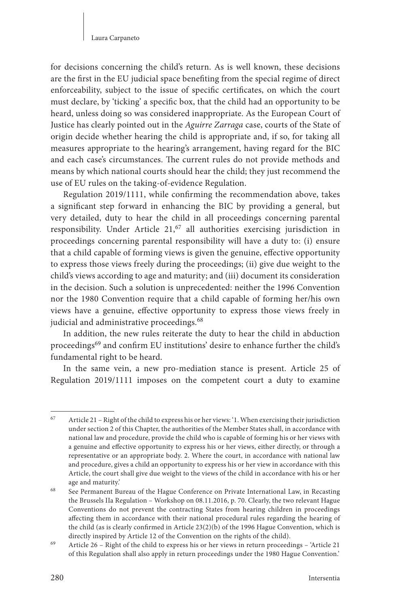for decisions concerning the child's return. As is well known, these decisions are the first in the EU judicial space benefiting from the special regime of direct enforceability, subject to the issue of specific certificates, on which the court must declare, by 'ticking' a specific box, that the child had an opportunity to be heard, unless doing so was considered inappropriate. As the European Court of Justice has clearly pointed out in the *Aguirre Zarraga* case , courts of the State of origin decide whether hearing the child is appropriate and, if so, for taking all measures appropriate to the hearing's arrangement, having regard for the BIC and each case's circumstances. The current rules do not provide methods and means by which national courts should hear the child; they just recommend the use of EU rules on the taking-of-evidence Regulation.

Regulation 2019/1111, while confirming the recommendation above, takes a significant step forward in enhancing the BIC by providing a general, but very detailed, duty to hear the child in all proceedings concerning parental responsibility. Under Article  $21,^{67}$  all authorities exercising jurisdiction in proceedings concerning parental responsibility will have a duty to: (i) ensure that a child capable of forming views is given the genuine, effective opportunity to express those views freely during the proceedings; (ii) give due weight to the child's views according to age and maturity; and (iii) document its consideration in the decision. Such a solution is unprecedented: neither the 1996 Convention nor the 1980 Convention require that a child capable of forming her/his own views have a genuine, effective opportunity to express those views freely in judicial and administrative proceedings.<sup>68</sup>

 In addition, the new rules reiterate the duty to hear the child in abduction proceedings<sup>69</sup> and confirm EU institutions' desire to enhance further the child's fundamental right to be heard.

 In the same vein, a new pro-mediation stance is present. Article 25 of Regulation 2019/1111 imposes on the competent court a duty to examine

<sup>67</sup> Article 21 – Right of the child to express his or her views: ' 1. When exercising their jurisdiction under section 2 of this Chapter, the authorities of the Member States shall, in accordance with national law and procedure, provide the child who is capable of forming his or her views with a genuine and effective opportunity to express his or her views, either directly, or through a representative or an appropriate body. 2. Where the court, in accordance with national law and procedure, gives a child an opportunity to express his or her view in accordance with this Article, the court shall give due weight to the views of the child in accordance with his or her age and maturity.' age and maturity.<br>' 68 See Permanent Bureau of the Hague Conference on Private International Law, in Recasting

the Brussels IIa Regulation – Workshop on 08.11.2016, p. 70. Clearly, the two relevant Hague Conventions do not prevent the contracting States from hearing children in proceedings affecting them in accordance with their national procedural rules regarding the hearing of the child (as is clearly confirmed in Article 23(2)(b) of the 1996 Hague Convention, which is directly inspired by Article 12 of the Convention on the rights of the child).<br><sup>69</sup> Article 26 – Right of the child to express his or her views in return proceedings – 'Article 21

of this Regulation shall also apply in return proceedings under the 1980 Hague Convention.'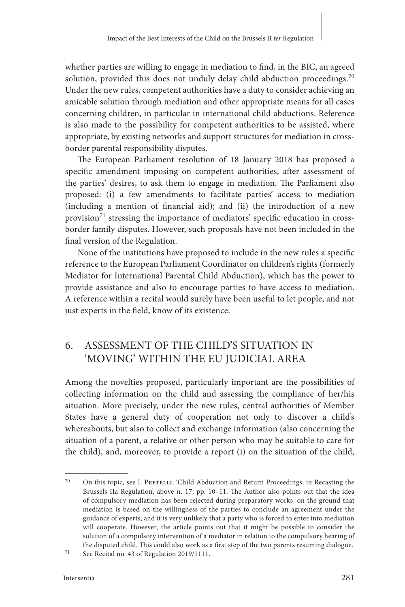whether parties are willing to engage in mediation to find, in the BIC, an agreed solution, provided this does not unduly delay child abduction proceedings.<sup>70</sup> Under the new rules, competent authorities have a duty to consider achieving an amicable solution through mediation and other appropriate means for all cases concerning children, in particular in international child abductions. Reference is also made to the possibility for competent authorities to be assisted, where appropriate, by existing networks and support structures for mediation in crossborder parental responsibility disputes.

The European Parliament resolution of 18 January 2018 has proposed a specific amendment imposing on competent authorities, after assessment of the parties' desires, to ask them to engage in mediation. The Parliament also proposed: (i) a few amendments to facilitate parties' access to mediation (including a mention of financial aid); and (ii) the introduction of a new provision<sup>71</sup> stressing the importance of mediators' specific education in crossborder family disputes. However, such proposals have not been included in the final version of the Regulation.

None of the institutions have proposed to include in the new rules a specific reference to the European Parliament Coordinator on children's rights (formerly Mediator for International Parental Child Abduction), which has the power to provide assistance and also to encourage parties to have access to mediation. A reference within a recital would surely have been useful to let people, and not just experts in the field, know of its existence.

# 6. ASSESSMENT OF THE CHILD'S SITUATION IN 'MOVING' WITHIN THE EU JUDICIAL AREA

 Among the novelties proposed, particularly important are the possibilities of collecting information on the child and assessing the compliance of her/his situation. More precisely, under the new rules, central authorities of Member States have a general duty of cooperation not only to discover a child's whereabouts, but also to collect and exchange information (also concerning the situation of a parent, a relative or other person who may be suitable to care for the child), and, moreover, to provide a report (i) on the situation of the child,

 $70$  On this topic, see I. PRETELLI, 'Child Abduction and Return Proceedings, in Recasting the Brussels IIa Regulation', above n. 17, pp. 10-11. The Author also points out that the idea of compulsory mediation has been rejected during preparatory works, on the ground that mediation is based on the willingness of the parties to conclude an agreement under the guidance of experts, and it is very unlikely that a party who is forced to enter into mediation will cooperate. However, the article points out that it might be possible to consider the solution of a compulsory intervention of a mediator in relation to the compulsory hearing of the disputed child. This could also work as a first step of the two parents resuming dialogue.<br>
<sup>71</sup> See Recital no. 43 of Regulation 2019/1111.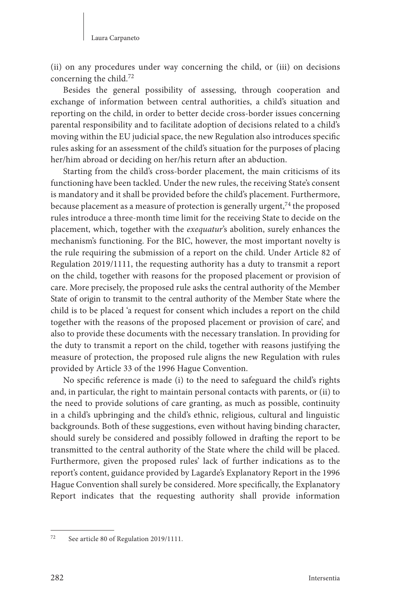(ii) on any procedures under way concerning the child, or (iii) on decisions concerning the child.<sup>72</sup>

 Besides the general possibility of assessing, through cooperation and exchange of information between central authorities, a child's situation and reporting on the child, in order to better decide cross-border issues concerning parental responsibility and to facilitate adoption of decisions related to a child's moving within the EU judicial space, the new Regulation also introduces specific rules asking for an assessment of the child's situation for the purposes of placing her/him abroad or deciding on her/his return after an abduction.

Starting from the child's cross-border placement, the main criticisms of its functioning have been tackled. Under the new rules, the receiving State's consent is mandatory and it shall be provided before the child's placement. Furthermore, because placement as a measure of protection is generally urgent,  $74$  the proposed rules introduce a three-month time limit for the receiving State to decide on the placement, which, together with the *exequatur's* abolition, surely enhances the mechanism's functioning. For the BIC, however, the most important novelty is the rule requiring the submission of a report on the child. Under Article 82 of Regulation 2019/1111, the requesting authority has a duty to transmit a report on the child, together with reasons for the proposed placement or provision of care. More precisely, the proposed rule asks the central authority of the Member State of origin to transmit to the central authority of the Member State where the child is to be placed 'a request for consent which includes a report on the child together with the reasons of the proposed placement or provision of care', and also to provide these documents with the necessary translation. In providing for the duty to transmit a report on the child, together with reasons justifying the measure of protection, the proposed rule aligns the new Regulation with rules provided by Article 33 of the 1996 Hague Convention.

No specific reference is made (i) to the need to safeguard the child's rights and, in particular, the right to maintain personal contacts with parents, or (ii) to the need to provide solutions of care granting, as much as possible, continuity in a child's upbringing and the child's ethnic, religious, cultural and linguistic backgrounds. Both of these suggestions, even without having binding character, should surely be considered and possibly followed in drafting the report to be transmitted to the central authority of the State where the child will be placed. Furthermore, given the proposed rules' lack of further indications as to the report's content, guidance provided by Lagarde's Explanatory Report in the 1996 Hague Convention shall surely be considered. More specifically, the Explanatory Report indicates that the requesting authority shall provide information

<sup>72</sup> See article 80 of Regulation 2019/1111.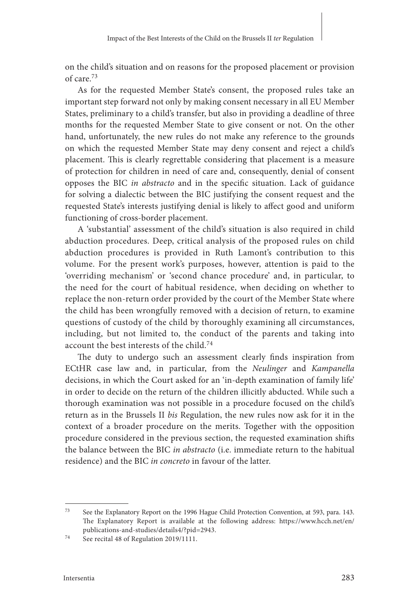on the child's situation and on reasons for the proposed placement or provision of care. 73

As for the requested Member State's consent, the proposed rules take an important step forward not only by making consent necessary in all EU Member States, preliminary to a child's transfer, but also in providing a deadline of three months for the requested Member State to give consent or not. On the other hand, unfortunately, the new rules do not make any reference to the grounds on which the requested Member State may deny consent and reject a child's placement. This is clearly regrettable considering that placement is a measure of protection for children in need of care and, consequently, denial of consent opposes the BIC *in abstracto* and in the specific situation. Lack of guidance for solving a dialectic between the BIC justifying the consent request and the requested State's interests justifying denial is likely to affect good and uniform functioning of cross-border placement.

A 'substantial' assessment of the child's situation is also required in child abduction procedures. Deep, critical analysis of the proposed rules on child abduction procedures is provided in Ruth Lamont's contribution to this volume. For the present work's purposes, however, attention is paid to the 'overriding mechanism' or 'second chance procedure' and, in particular, to the need for the court of habitual residence, when deciding on whether to replace the non-return order provided by the court of the Member State where the child has been wrongfully removed with a decision of return, to examine questions of custody of the child by thoroughly examining all circumstances, including, but not limited to, the conduct of the parents and taking into account the best interests of the child. 74

The duty to undergo such an assessment clearly finds inspiration from ECtHR case law and, in particular, from the *Neulinger* and *Kampanella* decisions, in which the Court asked for an 'in-depth examination of family life' in order to decide on the return of the children illicitly abducted. While such a thorough examination was not possible in a procedure focused on the child's return as in the Brussels II *bis* Regulation, the new rules now ask for it in the context of a broader procedure on the merits. Together with the opposition procedure considered in the previous section, the requested examination shifts the balance between the BIC *in abstracto* (i.e. immediate return to the habitual residence) and the BIC *in concreto* in favour of the latter.

<sup>73</sup> See the Explanatory Report on the 1996 Hague Child Protection Convention, at 593, para. 143. The Explanatory Report is available at the following address: https://www.hcch.net/en/ publications-and-studies/details4/?pid=2943.<br>
See recital 48 of Regulation 2019/1111.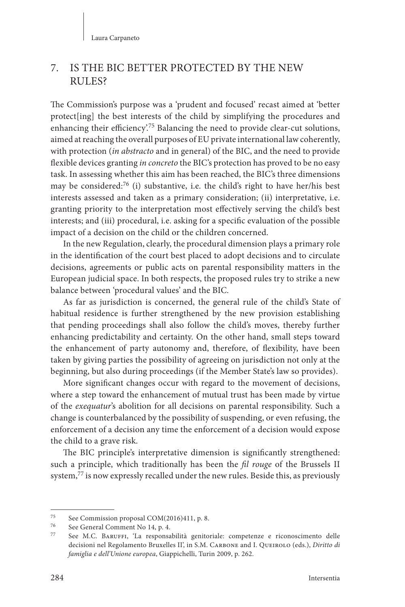### 7. IS THE BIC BETTER PROTECTED BY THE NEW RULES?

The Commission's purpose was a 'prudent and focused' recast aimed at 'better protect[ing] the best interests of the child by simplifying the procedures and enhancing their efficiency.<sup>75</sup> Balancing the need to provide clear-cut solutions, aimed at reaching the overall purposes of EU private international law coherently, with protection (*in abstracto* and in general) of the BIC, and the need to provide flexible devices granting *in concreto* the BIC's protection has proved to be no easy task. In assessing whether this aim has been reached, the BIC's three dimensions may be considered: $76$  (i) substantive, i.e. the child's right to have her/his best interests assessed and taken as a primary consideration; (ii) interpretative, i.e. granting priority to the interpretation most effectively serving the child's best interests; and (iii) procedural, i.e. asking for a specific evaluation of the possible impact of a decision on the child or the children concerned.

 In the new Regulation, clearly, the procedural dimension plays a primary role in the identification of the court best placed to adopt decisions and to circulate decisions, agreements or public acts on parental responsibility matters in the European judicial space. In both respects, the proposed rules try to strike a new balance between 'procedural values' and the BIC.

As far as jurisdiction is concerned, the general rule of the child's State of habitual residence is further strengthened by the new provision establishing that pending proceedings shall also follow the child's moves, thereby further enhancing predictability and certainty. On the other hand, small steps toward the enhancement of party autonomy and, therefore, of flexibility, have been taken by giving parties the possibility of agreeing on jurisdiction not only at the beginning, but also during proceedings (if the Member State's law so provides).

More significant changes occur with regard to the movement of decisions, where a step toward the enhancement of mutual trust has been made by virtue of the exequatur's abolition for all decisions on parental responsibility. Such a change is counterbalanced by the possibility of suspending, or even refusing, the enforcement of a decision any time the enforcement of a decision would expose the child to a grave risk.

The BIC principle's interpretative dimension is significantly strengthened: such a principle, which traditionally has been the *fi l rouge* of the Brussels II system,<sup>77</sup> is now expressly recalled under the new rules. Beside this, as previously

<sup>&</sup>lt;sup>75</sup> See Commission proposal COM(2016)411, p. 8.<br> $\frac{76}{26}$  See Congress Comment Na 14, p. 4.

<sup>&</sup>lt;sup>76</sup> See General Comment No 14, p. 4.<br><sup>77</sup> See M.C., BABURU (Le response

See M.C. BARUFFI, 'La responsabilità genitoriale: competenze e riconoscimento delle decisioni nel Regolamento Bruxelles II', in S.M. CARBONE and I. QUEIROLO (eds.), *Diritto di famiglia e dell'Unione europea*, Giappichelli, Turin 2009, p. 262.